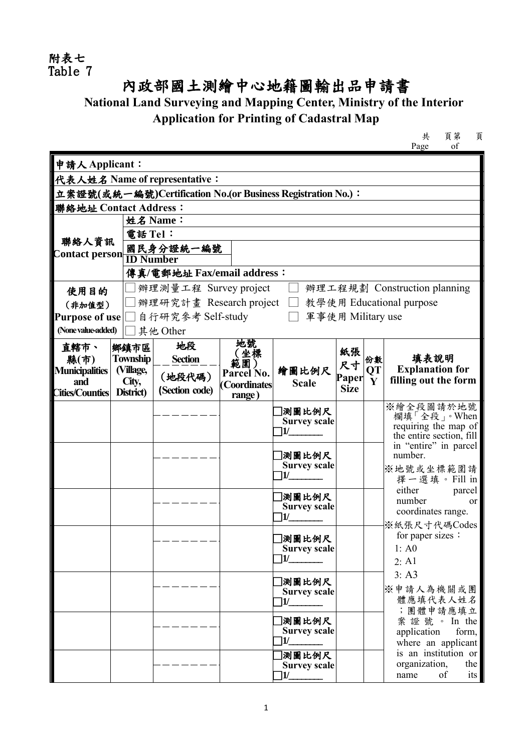附表七 Table 7

## 內政部國土測繪中心地籍圖輸出品申請書

## **National Land Surveying and Mapping Center, Ministry of the Interior Application for Printing of Cadastral Map**

共 頁第 頁 Page

| 申請人Applicant:                                               |                            |                         |              |                                     |             |                           |                                                |  |  |  |  |
|-------------------------------------------------------------|----------------------------|-------------------------|--------------|-------------------------------------|-------------|---------------------------|------------------------------------------------|--|--|--|--|
| 代表人姓名 Name of representative:                               |                            |                         |              |                                     |             |                           |                                                |  |  |  |  |
| 立案證號(或統一編號)Certification No.(or Business Registration No.): |                            |                         |              |                                     |             |                           |                                                |  |  |  |  |
| 聯絡地址 Contact Address:                                       |                            |                         |              |                                     |             |                           |                                                |  |  |  |  |
|                                                             |                            | 姓名 Name:                |              |                                     |             |                           |                                                |  |  |  |  |
|                                                             |                            | 電話 Tel:                 |              |                                     |             |                           |                                                |  |  |  |  |
| 聯絡人資訊<br><b>Contact person</b>                              |                            | 國民身分證統一編號               |              |                                     |             |                           |                                                |  |  |  |  |
|                                                             |                            | <b>ID Number</b>        |              |                                     |             |                           |                                                |  |  |  |  |
|                                                             | 傳真/電郵地址 Fax/email address: |                         |              |                                     |             |                           |                                                |  |  |  |  |
| 使用目的                                                        |                            | 辦理測量工程 Survey project   |              |                                     |             |                           | 辦理工程規劃 Construction planning                   |  |  |  |  |
| (非加值型)                                                      |                            | 辦理研究計畫 Research project |              |                                     |             |                           | 教學使用 Educational purpose                       |  |  |  |  |
| <b>Purpose of use</b>                                       |                            | 自行研究参考 Self-study       |              | 軍事使用 Military use                   |             |                           |                                                |  |  |  |  |
| (None value-added)                                          |                            | 其他 Other                |              |                                     |             |                           |                                                |  |  |  |  |
| 直轄市、                                                        | 鄉鎮市區                       | 地段                      | 地號           |                                     | 紙張          |                           |                                                |  |  |  |  |
| 縣(市)                                                        | <b>Township</b>            | <b>Section</b>          | (坐標<br>範圍)   |                                     | 尺寸          | 份數                        | 填表說明                                           |  |  |  |  |
| <b>Municipalities</b><br>and                                | (Village,                  | (地段代碼)                  | Parcel No.   | 繪圖比例尺                               | Paper       | <b>QT</b><br>$\mathbf{V}$ | <b>Explanation for</b><br>filling out the form |  |  |  |  |
| Cities/Counties District)                                   | City,                      | (Section code)          | (Coordinates | <b>Scale</b>                        | <b>Size</b> |                           |                                                |  |  |  |  |
|                                                             |                            |                         | range)       |                                     |             |                           | ※繪全段圖請於地號                                      |  |  |  |  |
|                                                             |                            |                         |              | 測圖比例尺<br><b>Survey scale</b>        |             |                           | 欄填「全段」。When<br>requiring the map of            |  |  |  |  |
|                                                             |                            |                         |              | 11/                                 |             |                           | the entire section, fill                       |  |  |  |  |
|                                                             |                            |                         |              |                                     |             |                           | in "entire" in parcel                          |  |  |  |  |
|                                                             |                            |                         |              | 測圖比例尺                               |             |                           | number.                                        |  |  |  |  |
|                                                             |                            |                         |              | <b>Survey scale</b><br>11/          |             |                           | ※地號或坐標範圍請                                      |  |  |  |  |
|                                                             |                            |                         |              |                                     |             |                           | 擇一選填。Fill in<br>either<br>parcel               |  |  |  |  |
|                                                             |                            |                         |              | 測圖比例尺                               |             |                           | number<br>0r                                   |  |  |  |  |
|                                                             |                            |                         |              | <b>Survey scale</b><br>11/          |             |                           | coordinates range.                             |  |  |  |  |
|                                                             |                            |                         |              |                                     |             |                           | ※紙張尺寸代碼Codes                                   |  |  |  |  |
|                                                             |                            |                         |              | 測圖比例尺                               |             |                           | for paper sizes:                               |  |  |  |  |
|                                                             |                            |                         |              | <b>Survey scale</b><br>$\mathbf{1}$ |             |                           | 1: A0<br>2: A1                                 |  |  |  |  |
|                                                             |                            |                         |              |                                     |             |                           | 3: A3                                          |  |  |  |  |
|                                                             |                            |                         |              | ]測圖比例尺                              |             |                           |                                                |  |  |  |  |
|                                                             |                            |                         |              | <b>Survey scale</b><br>$\mathbf{1}$ |             |                           | ※申請人為機關或團<br>體應填代表人姓名                          |  |  |  |  |
|                                                             |                            |                         |              |                                     |             |                           | ;團體申請應填立                                       |  |  |  |  |
|                                                             |                            |                         |              | 測圖比例尺                               |             |                           | 案證號。 In the                                    |  |  |  |  |
|                                                             |                            |                         |              | <b>Survey scale</b><br>1/           |             |                           | application<br>form,<br>where an applicant     |  |  |  |  |
|                                                             |                            |                         |              | 測圖比例尺                               |             |                           | is an institution or                           |  |  |  |  |
|                                                             |                            |                         |              | <b>Survey scale</b>                 |             |                           | organization,<br>the                           |  |  |  |  |
|                                                             |                            |                         |              | $\mathbf{1}$                        |             |                           | name<br>its<br>of                              |  |  |  |  |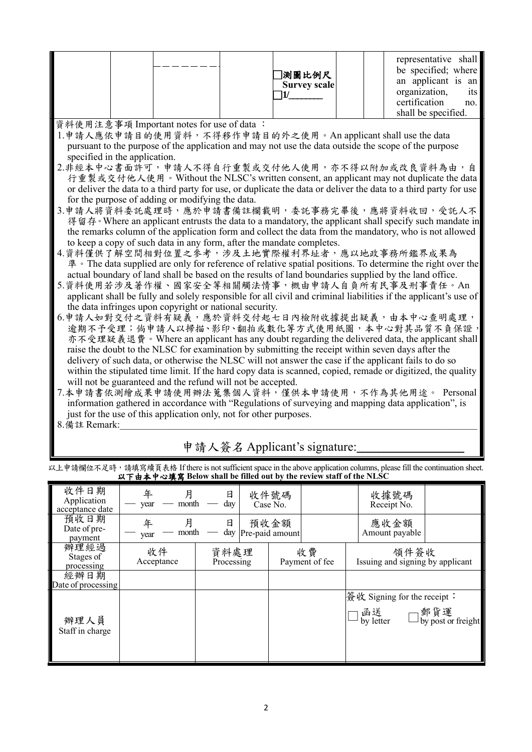|  | ]測圖比例尺<br>Survey scale | representative shall<br>be specified; where<br>an applicant is an<br>organization,<br>its l<br>certification<br>no.<br>shall be specified. |
|--|------------------------|--------------------------------------------------------------------------------------------------------------------------------------------|
|--|------------------------|--------------------------------------------------------------------------------------------------------------------------------------------|

資料使用注意事項 Important notes for use of data :

- 1.申請人應依申請目的使用資料,不得移作申請目的外之使用。An applicant shall use the data pursuant to the purpose of the application and may not use the data outside the scope of the purpose specified in the application.
- 2.非經本中心書面許可,申請人不得自行重製或交付他人使用,亦不得以附加或改良資料為由,自 行重製或交付他人使用。Without the NLSC's written consent, an applicant may not duplicate the data or deliver the data to a third party for use, or duplicate the data or deliver the data to a third party for use for the purpose of adding or modifying the data.
- 3.申請人將資料委託處理時,應於申請書備註欄載明,委託事務完畢後,應將資料收回,受託人不 得留存。Where an applicant entrusts the data to a mandatory, the applicant shall specify such mandate in the remarks column of the application form and collect the data from the mandatory, who is not allowed to keep a copy of such data in any form, after the mandate completes.
- 4.資料僅供了解空間相對位置之參考,涉及土地實際權利界址者,應以地政事務所鑑界成果為 準。The data supplied are only for reference of relative spatial positions. To determine the right over the actual boundary of land shall be based on the results of land boundaries supplied by the land office.
- 5.資料使用若涉及著作權、國家安全等相關觸法情事,概由申請人自負所有民事及刑事責任。An applicant shall be fully and solely responsible for all civil and criminal liabilities if the applicant's use of the data infringes upon copyright or national security.
- 6.申請人如對交付之資料有疑義,應於資料交付起七日內檢附收據提出疑義,由本中心查明處理。 逾期不予受理;倘申請人以掃描、影印、翻拍或數化等方式使用紙圖,本中心對其品質不負保證 亦不受理疑義退費。Where an applicant has any doubt regarding the delivered data, the applicant shall raise the doubt to the NLSC for examination by submitting the receipt within seven days after the delivery of such data, or otherwise the NLSC will not answer the case if the applicant fails to do so within the stipulated time limit. If the hard copy data is scanned, copied, remade or digitized, the quality will not be guaranteed and the refund will not be accepted.
- 7.本申請書依測繪成果申請使用辦法蒐集個人資料,僅供本申請使用,不作為其他用途。 Personal information gathered in accordance with "Regulations of surveying and mapping data application", is just for the use of this application only, not for other purposes.
- $8.$  備 註 Remark:

## 申請人簽名 Applicant's signature:

以上申請欄位不足時,請填寫續頁表格 If there is not sufficient space in the above application columns, please fill the continuation sheet. 以下由本中心填寫 **Below shall be filled out by the review staff of the NLSC**

| 收件日期<br>Application<br>acceptance date | 月<br>年<br>month<br>year | 日<br>dav           | 收件號碼<br>Case No.        |                      |                                          | 收據號碼<br>Receipt No.    |                                                   |
|----------------------------------------|-------------------------|--------------------|-------------------------|----------------------|------------------------------------------|------------------------|---------------------------------------------------|
| 預收日期<br>Date of pre-<br>payment        | 月<br>年<br>month<br>year | 日<br>day           | 預收金額<br>Pre-paid amount |                      |                                          | 應收金額<br>Amount payable |                                                   |
| 辦理經過<br>Stages of<br>processing        | 收件<br>Acceptance        | 資料處理<br>Processing |                         | 收費<br>Payment of fee | 領件簽收<br>Issuing and signing by applicant |                        |                                                   |
| 經辦日期<br>Date of processing             |                         |                    |                         |                      |                                          |                        |                                                   |
| 辦理人員<br>Staff in charge                |                         |                    |                         |                      | 簽收 Signing for the receipt :             |                        | □ 函送   □郵貨運<br>□ by letter   □ by post or freight |